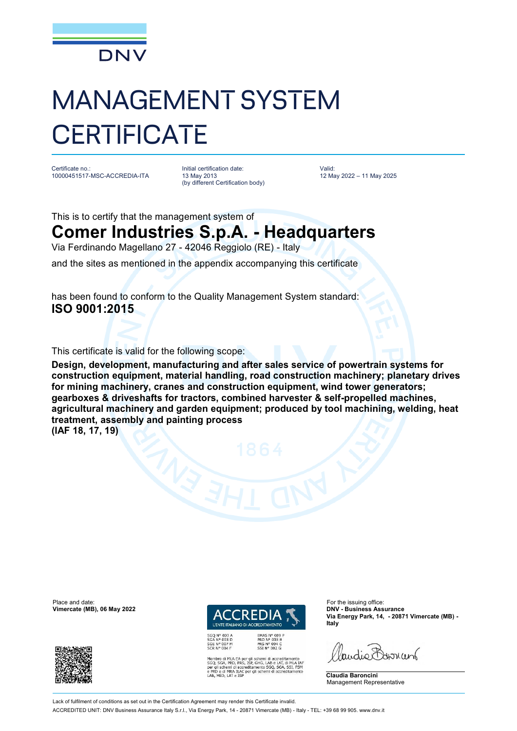

## MANAGEMENT SYSTEM **CERTIFICATE**

Certificate no.: 10000451517-MSC-ACCREDIA-ITA Initial certification date: 13 May 2013 (by different Certification body) Valid: 12 May 2022 – 11 May 2025

This is to certify that the management system of

## **Comer Industries S.p.A. - Headquarters**

Via Ferdinando Magellano 27 - 42046 Reggiolo (RE) - Italy

and the sites as mentioned in the appendix accompanying this certificate

has been found to conform to the Quality Management System standard: **ISO 9001:2015**

This certificate is valid for the following scope:

**Design, development, manufacturing and after sales service of powertrain systems for construction equipment, material handling, road construction machinery; planetary drives for mining machinery, cranes and construction equipment, wind tower generators; gearboxes & driveshafts for tractors, combined harvester & self-propelled machines, agricultural machinery and garden equipment; produced by tool machining, welding, heat treatment, assembly and painting process** 

**(IAF 18, 17, 19)**

Place and date: For the issuing office:<br> **Place and date:** For the issuing office:<br> **Place and date:** For the issuing office:<br> **Place and date:** For the issuing office:  $V$ imercate (MB), 06 May 2022





EMAS N° 009 P<br>PRD N° 003 B<br>PRS N° 094 C<br>SSI N° 002 G

MLA EA per gli schemi di accreditamento<br>PRD, PRS, ISP, GHG, LAB e LAT, di MLA IAF<br>emi di accreditamento SGQ, SGA, SSI, FSM<br>MRA ILAC per gli schemi di accreditamento

**Via Energy Park, 14, - 20871 Vimercate (MB) - Italy**

Paudie Barriant

**Claudia Baroncini** Management Representative

Lack of fulfilment of conditions as set out in the Certification Agreement may render this Certificate invalid ACCREDITED UNIT: DNV Business Assurance Italy S.r.l., Via Energy Park, 14 - 20871 Vimercate (MB) - Italy - TEL: +39 68 99 905. [www.dnv.it](http://www.dnv.it)